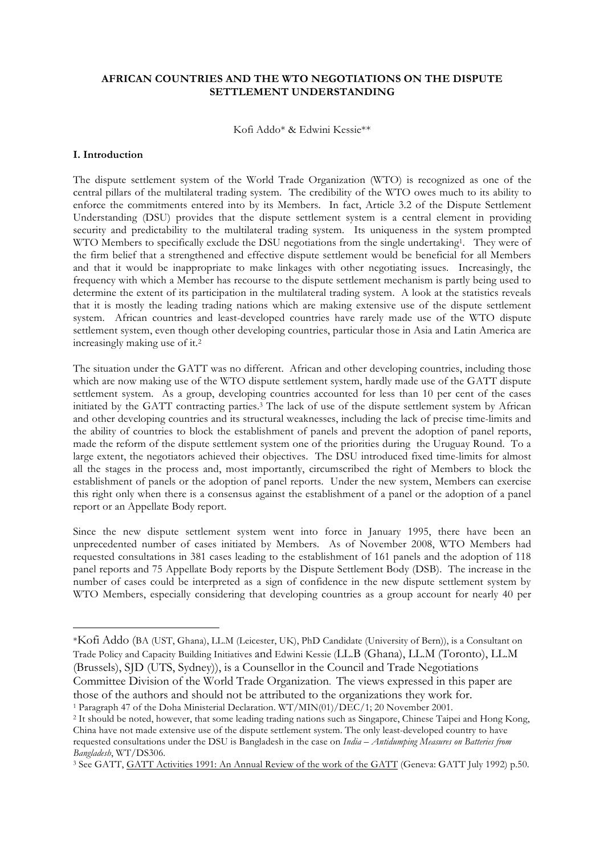## **AFRICAN COUNTRIES AND THE WTO NEGOTIATIONS ON THE DISPUTE SETTLEMENT UNDERSTANDING**

Kofi Addo\* & Edwini Kessie\*\*

### **I. Introduction**

 $\overline{a}$ 

The dispute settlement system of the World Trade Organization (WTO) is recognized as one of the central pillars of the multilateral trading system. The credibility of the WTO owes much to its ability to enforce the commitments entered into by its Members. In fact, Article 3.2 of the Dispute Settlement Understanding (DSU) provides that the dispute settlement system is a central element in providing security and predictability to the multilateral trading system. Its uniqueness in the system prompted WTO Members to specifically exclude the DSU negotiations from the single undertaking1. They were of the firm belief that a strengthened and effective dispute settlement would be beneficial for all Members and that it would be inappropriate to make linkages with other negotiating issues. Increasingly, the frequency with which a Member has recourse to the dispute settlement mechanism is partly being used to determine the extent of its participation in the multilateral trading system. A look at the statistics reveals that it is mostly the leading trading nations which are making extensive use of the dispute settlement system. African countries and least-developed countries have rarely made use of the WTO dispute settlement system, even though other developing countries, particular those in Asia and Latin America are increasingly making use of it.2

The situation under the GATT was no different. African and other developing countries, including those which are now making use of the WTO dispute settlement system, hardly made use of the GATT dispute settlement system. As a group, developing countries accounted for less than 10 per cent of the cases initiated by the GATT contracting parties.3 The lack of use of the dispute settlement system by African and other developing countries and its structural weaknesses, including the lack of precise time-limits and the ability of countries to block the establishment of panels and prevent the adoption of panel reports, made the reform of the dispute settlement system one of the priorities during the Uruguay Round. To a large extent, the negotiators achieved their objectives. The DSU introduced fixed time-limits for almost all the stages in the process and, most importantly, circumscribed the right of Members to block the establishment of panels or the adoption of panel reports. Under the new system, Members can exercise this right only when there is a consensus against the establishment of a panel or the adoption of a panel report or an Appellate Body report.

Since the new dispute settlement system went into force in January 1995, there have been an unprecedented number of cases initiated by Members. As of November 2008, WTO Members had requested consultations in 381 cases leading to the establishment of 161 panels and the adoption of 118 panel reports and 75 Appellate Body reports by the Dispute Settlement Body (DSB). The increase in the number of cases could be interpreted as a sign of confidence in the new dispute settlement system by WTO Members, especially considering that developing countries as a group account for nearly 40 per

<sup>\*</sup>Kofi Addo (BA (UST, Ghana), LL.M (Leicester, UK), PhD Candidate (University of Bern)), is a Consultant on Trade Policy and Capacity Building Initiatives and Edwini Kessie (LL.B (Ghana), LL.M (Toronto), LL.M (Brussels), SJD (UTS, Sydney)), is a Counsellor in the Council and Trade Negotiations Committee Division of the World Trade Organization. The views expressed in this paper are

those of the authors and should not be attributed to the organizations they work for.

<sup>1</sup> Paragraph 47 of the Doha Ministerial Declaration. WT/MIN(01)/DEC/1; 20 November 2001.

<sup>&</sup>lt;sup>2</sup> It should be noted, however, that some leading trading nations such as Singapore, Chinese Taipei and Hong Kong, China have not made extensive use of the dispute settlement system. The only least-developed country to have requested consultations under the DSU is Bangladesh in the case on *India – Antidumping Measures on Batteries from Bangladesh*, WT/DS306.

<sup>3</sup> See GATT, GATT Activities 1991: An Annual Review of the work of the GATT (Geneva: GATT July 1992) p.50.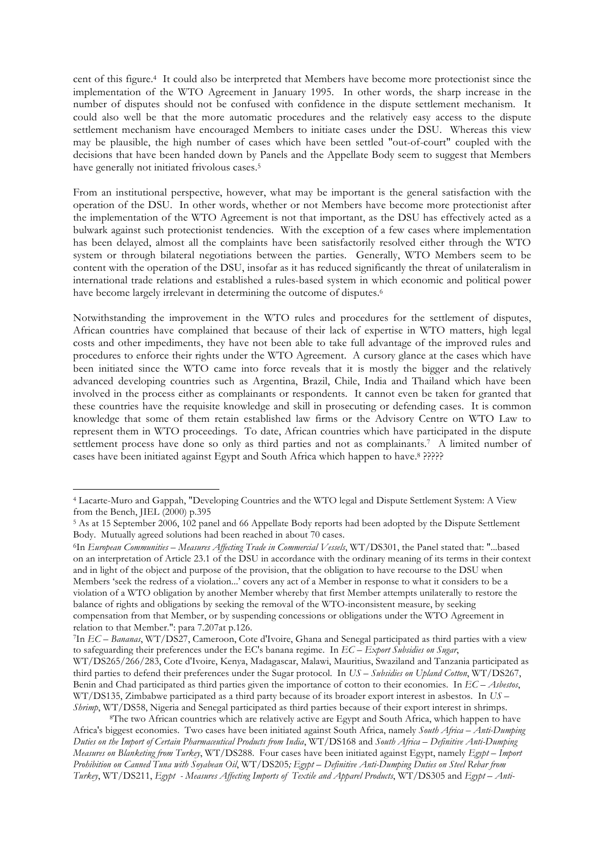cent of this figure.4 It could also be interpreted that Members have become more protectionist since the implementation of the WTO Agreement in January 1995. In other words, the sharp increase in the number of disputes should not be confused with confidence in the dispute settlement mechanism. It could also well be that the more automatic procedures and the relatively easy access to the dispute settlement mechanism have encouraged Members to initiate cases under the DSU. Whereas this view may be plausible, the high number of cases which have been settled "out-of-court" coupled with the decisions that have been handed down by Panels and the Appellate Body seem to suggest that Members have generally not initiated frivolous cases.5

From an institutional perspective, however, what may be important is the general satisfaction with the operation of the DSU. In other words, whether or not Members have become more protectionist after the implementation of the WTO Agreement is not that important, as the DSU has effectively acted as a bulwark against such protectionist tendencies. With the exception of a few cases where implementation has been delayed, almost all the complaints have been satisfactorily resolved either through the WTO system or through bilateral negotiations between the parties. Generally, WTO Members seem to be content with the operation of the DSU, insofar as it has reduced significantly the threat of unilateralism in international trade relations and established a rules-based system in which economic and political power have become largely irrelevant in determining the outcome of disputes.<sup>6</sup>

Notwithstanding the improvement in the WTO rules and procedures for the settlement of disputes, African countries have complained that because of their lack of expertise in WTO matters, high legal costs and other impediments, they have not been able to take full advantage of the improved rules and procedures to enforce their rights under the WTO Agreement. A cursory glance at the cases which have been initiated since the WTO came into force reveals that it is mostly the bigger and the relatively advanced developing countries such as Argentina, Brazil, Chile, India and Thailand which have been involved in the process either as complainants or respondents. It cannot even be taken for granted that these countries have the requisite knowledge and skill in prosecuting or defending cases. It is common knowledge that some of them retain established law firms or the Advisory Centre on WTO Law to represent them in WTO proceedings. To date, African countries which have participated in the dispute settlement process have done so only as third parties and not as complainants.<sup>7</sup> A limited number of cases have been initiated against Egypt and South Africa which happen to have.8 ?????

<sup>4</sup> Lacarte-Muro and Gappah, "Developing Countries and the WTO legal and Dispute Settlement System: A View from the Bench, JIEL (2000) p.395

<sup>5</sup> As at 15 September 2006, 102 panel and 66 Appellate Body reports had been adopted by the Dispute Settlement Body. Mutually agreed solutions had been reached in about 70 cases.

<sup>6</sup>In *European Communities – Measures Affecting Trade in Commercial Vessels*, WT/DS301, the Panel stated that: "...based on an interpretation of Article 23.1 of the DSU in accordance with the ordinary meaning of its terms in their context and in light of the object and purpose of the provision, that the obligation to have recourse to the DSU when Members 'seek the redress of a violation...' covers any act of a Member in response to what it considers to be a violation of a WTO obligation by another Member whereby that first Member attempts unilaterally to restore the balance of rights and obligations by seeking the removal of the WTO-inconsistent measure, by seeking compensation from that Member, or by suspending concessions or obligations under the WTO Agreement in relation to that Member.": para 7.207at p.126.

<sup>7</sup>In *EC – Bananas*, WT/DS27, Cameroon, Cote d'Ivoire, Ghana and Senegal participated as third parties with a view to safeguarding their preferences under the EC's banana regime. In *EC – Export Subsidies on Sugar*,

WT/DS265/266/283, Cote d'Ivoire, Kenya, Madagascar, Malawi, Mauritius, Swaziland and Tanzania participated as third parties to defend their preferences under the Sugar protocol. In *US – Subsidies on Upland Cotton*, WT/DS267, Benin and Chad participated as third parties given the importance of cotton to their economies. In *EC – Asbestos*, WT/DS135, Zimbabwe participated as a third party because of its broader export interest in asbestos. In *US – Shrimp*, WT/DS58, Nigeria and Senegal participated as third parties because of their export interest in shrimps.

<sup>&</sup>lt;sup>8</sup>The two African countries which are relatively active are Egypt and South Africa, which happen to have Africa's biggest economies. Two cases have been initiated against South Africa, namely *South Africa – Anti-Dumping Duties on the Import of Certain Pharmaceutical Products from India*, WT/DS168 and *South Africa – Definitive Anti-Dumping Measures on Blanketing from Turkey*, WT/DS288. Four cases have been initiated against Egypt, namely *Egypt – Import Prohibition on Canned Tuna with Soyabean Oil*, WT/DS205*; Egypt – Definitive Anti-Dumping Duties on Steel Rebar from Turkey*, WT/DS211, *Egypt - Measures Affecting Imports of Textile and Apparel Products*, WT/DS305 and *Egypt – Anti-*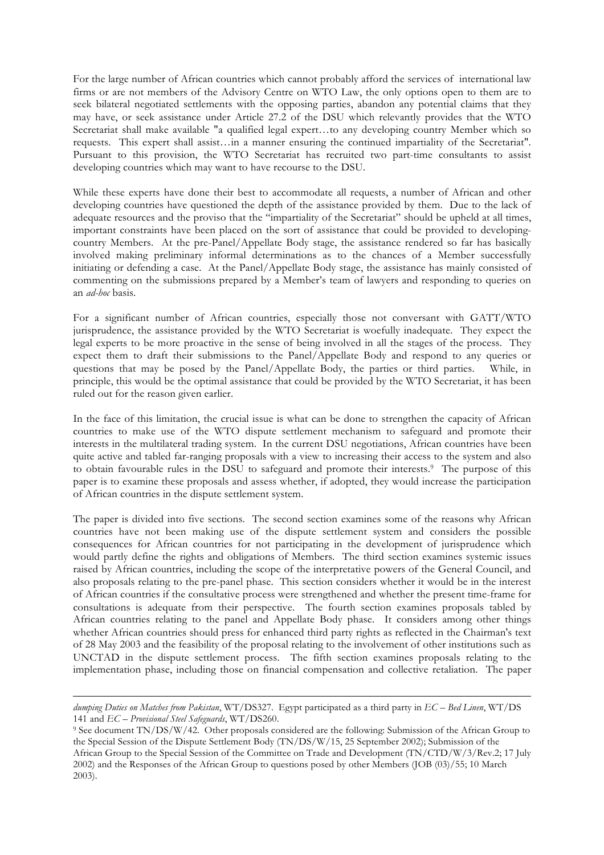For the large number of African countries which cannot probably afford the services of international law firms or are not members of the Advisory Centre on WTO Law, the only options open to them are to seek bilateral negotiated settlements with the opposing parties, abandon any potential claims that they may have, or seek assistance under Article 27.2 of the DSU which relevantly provides that the WTO Secretariat shall make available "a qualified legal expert...to any developing country Member which so requests. This expert shall assist…in a manner ensuring the continued impartiality of the Secretariat". Pursuant to this provision, the WTO Secretariat has recruited two part-time consultants to assist developing countries which may want to have recourse to the DSU.

While these experts have done their best to accommodate all requests, a number of African and other developing countries have questioned the depth of the assistance provided by them. Due to the lack of adequate resources and the proviso that the "impartiality of the Secretariat" should be upheld at all times, important constraints have been placed on the sort of assistance that could be provided to developingcountry Members. At the pre-Panel/Appellate Body stage, the assistance rendered so far has basically involved making preliminary informal determinations as to the chances of a Member successfully initiating or defending a case. At the Panel/Appellate Body stage, the assistance has mainly consisted of commenting on the submissions prepared by a Member's team of lawyers and responding to queries on an *ad-hoc* basis.

For a significant number of African countries, especially those not conversant with GATT/WTO jurisprudence, the assistance provided by the WTO Secretariat is woefully inadequate. They expect the legal experts to be more proactive in the sense of being involved in all the stages of the process. They expect them to draft their submissions to the Panel/Appellate Body and respond to any queries or questions that may be posed by the Panel/Appellate Body, the parties or third parties. While, in principle, this would be the optimal assistance that could be provided by the WTO Secretariat, it has been ruled out for the reason given earlier.

In the face of this limitation, the crucial issue is what can be done to strengthen the capacity of African countries to make use of the WTO dispute settlement mechanism to safeguard and promote their interests in the multilateral trading system. In the current DSU negotiations, African countries have been quite active and tabled far-ranging proposals with a view to increasing their access to the system and also to obtain favourable rules in the DSU to safeguard and promote their interests.9 The purpose of this paper is to examine these proposals and assess whether, if adopted, they would increase the participation of African countries in the dispute settlement system.

The paper is divided into five sections. The second section examines some of the reasons why African countries have not been making use of the dispute settlement system and considers the possible consequences for African countries for not participating in the development of jurisprudence which would partly define the rights and obligations of Members. The third section examines systemic issues raised by African countries, including the scope of the interpretative powers of the General Council, and also proposals relating to the pre-panel phase. This section considers whether it would be in the interest of African countries if the consultative process were strengthened and whether the present time-frame for consultations is adequate from their perspective. The fourth section examines proposals tabled by African countries relating to the panel and Appellate Body phase. It considers among other things whether African countries should press for enhanced third party rights as reflected in the Chairman's text of 28 May 2003 and the feasibility of the proposal relating to the involvement of other institutions such as UNCTAD in the dispute settlement process. The fifth section examines proposals relating to the implementation phase, including those on financial compensation and collective retaliation. The paper

*dumping Duties on Matches from Pakistan*, WT/DS327. Egypt participated as a third party in *EC – Bed Linen*, WT/DS 141 and *EC – Provisional Steel Safeguards*, WT/DS260.

<sup>9</sup> See document TN/DS/W/42. Other proposals considered are the following: Submission of the African Group to the Special Session of the Dispute Settlement Body (TN/DS/W/15, 25 September 2002); Submission of the African Group to the Special Session of the Committee on Trade and Development (TN/CTD/W/3/Rev.2; 17 July 2002) and the Responses of the African Group to questions posed by other Members (JOB (03)/55; 10 March 2003).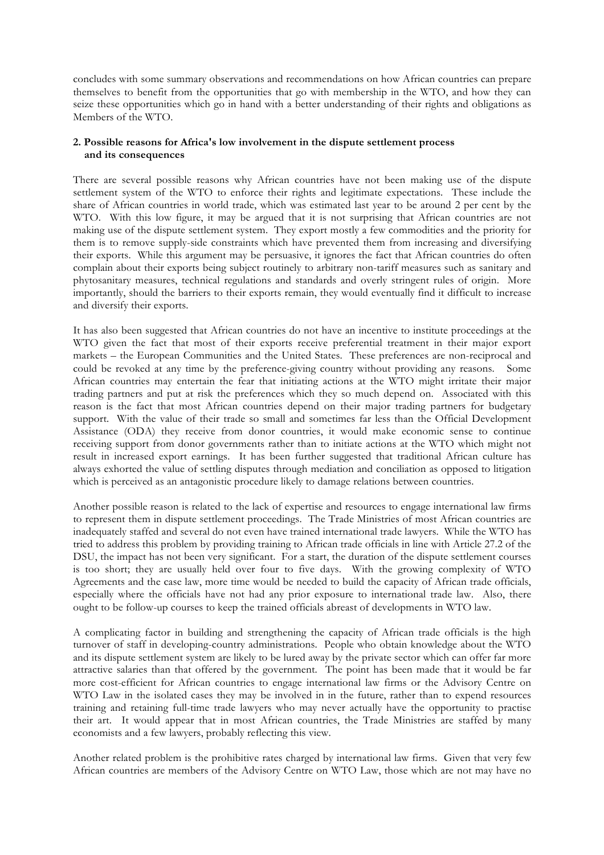concludes with some summary observations and recommendations on how African countries can prepare themselves to benefit from the opportunities that go with membership in the WTO, and how they can seize these opportunities which go in hand with a better understanding of their rights and obligations as Members of the WTO.

# **2. Possible reasons for Africa's low involvement in the dispute settlement process and its consequences**

There are several possible reasons why African countries have not been making use of the dispute settlement system of the WTO to enforce their rights and legitimate expectations. These include the share of African countries in world trade, which was estimated last year to be around 2 per cent by the WTO. With this low figure, it may be argued that it is not surprising that African countries are not making use of the dispute settlement system. They export mostly a few commodities and the priority for them is to remove supply-side constraints which have prevented them from increasing and diversifying their exports. While this argument may be persuasive, it ignores the fact that African countries do often complain about their exports being subject routinely to arbitrary non-tariff measures such as sanitary and phytosanitary measures, technical regulations and standards and overly stringent rules of origin. More importantly, should the barriers to their exports remain, they would eventually find it difficult to increase and diversify their exports.

It has also been suggested that African countries do not have an incentive to institute proceedings at the WTO given the fact that most of their exports receive preferential treatment in their major export markets – the European Communities and the United States. These preferences are non-reciprocal and could be revoked at any time by the preference-giving country without providing any reasons. Some African countries may entertain the fear that initiating actions at the WTO might irritate their major trading partners and put at risk the preferences which they so much depend on. Associated with this reason is the fact that most African countries depend on their major trading partners for budgetary support. With the value of their trade so small and sometimes far less than the Official Development Assistance (ODA) they receive from donor countries, it would make economic sense to continue receiving support from donor governments rather than to initiate actions at the WTO which might not result in increased export earnings. It has been further suggested that traditional African culture has always exhorted the value of settling disputes through mediation and conciliation as opposed to litigation which is perceived as an antagonistic procedure likely to damage relations between countries.

Another possible reason is related to the lack of expertise and resources to engage international law firms to represent them in dispute settlement proceedings. The Trade Ministries of most African countries are inadequately staffed and several do not even have trained international trade lawyers. While the WTO has tried to address this problem by providing training to African trade officials in line with Article 27.2 of the DSU, the impact has not been very significant. For a start, the duration of the dispute settlement courses is too short; they are usually held over four to five days. With the growing complexity of WTO Agreements and the case law, more time would be needed to build the capacity of African trade officials, especially where the officials have not had any prior exposure to international trade law. Also, there ought to be follow-up courses to keep the trained officials abreast of developments in WTO law.

A complicating factor in building and strengthening the capacity of African trade officials is the high turnover of staff in developing-country administrations. People who obtain knowledge about the WTO and its dispute settlement system are likely to be lured away by the private sector which can offer far more attractive salaries than that offered by the government. The point has been made that it would be far more cost-efficient for African countries to engage international law firms or the Advisory Centre on WTO Law in the isolated cases they may be involved in in the future, rather than to expend resources training and retaining full-time trade lawyers who may never actually have the opportunity to practise their art. It would appear that in most African countries, the Trade Ministries are staffed by many economists and a few lawyers, probably reflecting this view.

Another related problem is the prohibitive rates charged by international law firms. Given that very few African countries are members of the Advisory Centre on WTO Law, those which are not may have no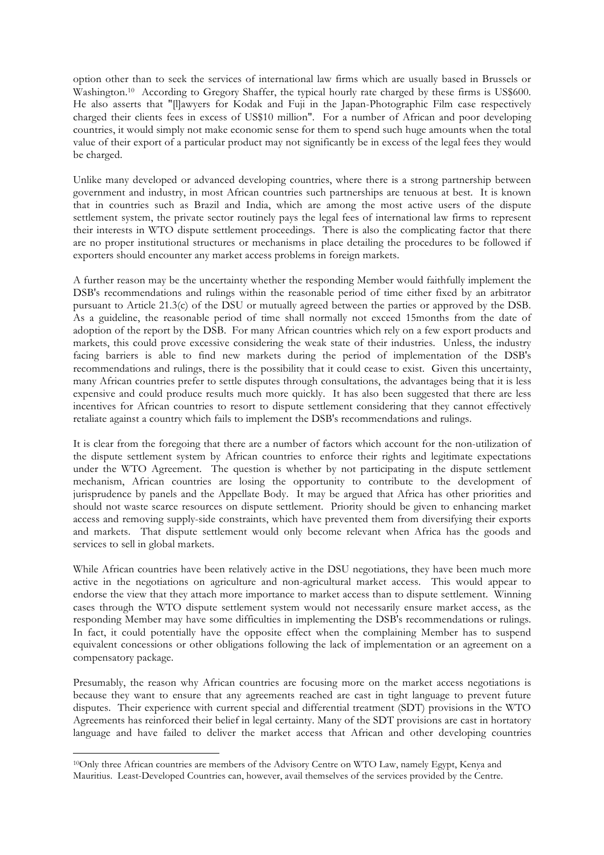option other than to seek the services of international law firms which are usually based in Brussels or Washington.10 According to Gregory Shaffer, the typical hourly rate charged by these firms is US\$600. He also asserts that "[l]awyers for Kodak and Fuji in the Japan-Photographic Film case respectively charged their clients fees in excess of US\$10 million". For a number of African and poor developing countries, it would simply not make economic sense for them to spend such huge amounts when the total value of their export of a particular product may not significantly be in excess of the legal fees they would be charged.

Unlike many developed or advanced developing countries, where there is a strong partnership between government and industry, in most African countries such partnerships are tenuous at best. It is known that in countries such as Brazil and India, which are among the most active users of the dispute settlement system, the private sector routinely pays the legal fees of international law firms to represent their interests in WTO dispute settlement proceedings. There is also the complicating factor that there are no proper institutional structures or mechanisms in place detailing the procedures to be followed if exporters should encounter any market access problems in foreign markets.

A further reason may be the uncertainty whether the responding Member would faithfully implement the DSB's recommendations and rulings within the reasonable period of time either fixed by an arbitrator pursuant to Article 21.3(c) of the DSU or mutually agreed between the parties or approved by the DSB. As a guideline, the reasonable period of time shall normally not exceed 15months from the date of adoption of the report by the DSB. For many African countries which rely on a few export products and markets, this could prove excessive considering the weak state of their industries. Unless, the industry facing barriers is able to find new markets during the period of implementation of the DSB's recommendations and rulings, there is the possibility that it could cease to exist. Given this uncertainty, many African countries prefer to settle disputes through consultations, the advantages being that it is less expensive and could produce results much more quickly. It has also been suggested that there are less incentives for African countries to resort to dispute settlement considering that they cannot effectively retaliate against a country which fails to implement the DSB's recommendations and rulings.

It is clear from the foregoing that there are a number of factors which account for the non-utilization of the dispute settlement system by African countries to enforce their rights and legitimate expectations under the WTO Agreement. The question is whether by not participating in the dispute settlement mechanism, African countries are losing the opportunity to contribute to the development of jurisprudence by panels and the Appellate Body. It may be argued that Africa has other priorities and should not waste scarce resources on dispute settlement. Priority should be given to enhancing market access and removing supply-side constraints, which have prevented them from diversifying their exports and markets. That dispute settlement would only become relevant when Africa has the goods and services to sell in global markets.

While African countries have been relatively active in the DSU negotiations, they have been much more active in the negotiations on agriculture and non-agricultural market access. This would appear to endorse the view that they attach more importance to market access than to dispute settlement. Winning cases through the WTO dispute settlement system would not necessarily ensure market access, as the responding Member may have some difficulties in implementing the DSB's recommendations or rulings. In fact, it could potentially have the opposite effect when the complaining Member has to suspend equivalent concessions or other obligations following the lack of implementation or an agreement on a compensatory package.

Presumably, the reason why African countries are focusing more on the market access negotiations is because they want to ensure that any agreements reached are cast in tight language to prevent future disputes. Their experience with current special and differential treatment (SDT) provisions in the WTO Agreements has reinforced their belief in legal certainty. Many of the SDT provisions are cast in hortatory language and have failed to deliver the market access that African and other developing countries

<sup>10</sup>Only three African countries are members of the Advisory Centre on WTO Law, namely Egypt, Kenya and Mauritius. Least-Developed Countries can, however, avail themselves of the services provided by the Centre.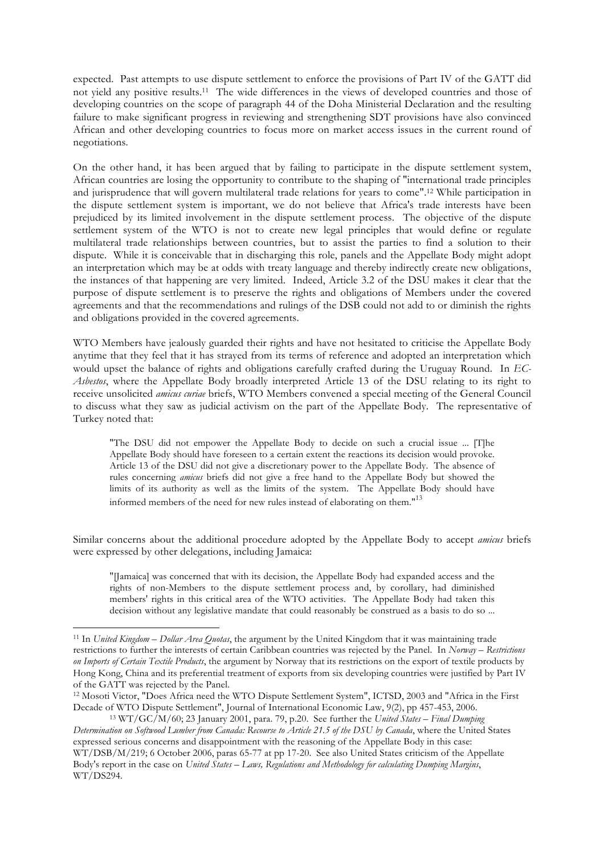expected. Past attempts to use dispute settlement to enforce the provisions of Part IV of the GATT did not yield any positive results.11 The wide differences in the views of developed countries and those of developing countries on the scope of paragraph 44 of the Doha Ministerial Declaration and the resulting failure to make significant progress in reviewing and strengthening SDT provisions have also convinced African and other developing countries to focus more on market access issues in the current round of negotiations.

On the other hand, it has been argued that by failing to participate in the dispute settlement system, African countries are losing the opportunity to contribute to the shaping of "international trade principles and jurisprudence that will govern multilateral trade relations for years to come".12 While participation in the dispute settlement system is important, we do not believe that Africa's trade interests have been prejudiced by its limited involvement in the dispute settlement process. The objective of the dispute settlement system of the WTO is not to create new legal principles that would define or regulate multilateral trade relationships between countries, but to assist the parties to find a solution to their dispute. While it is conceivable that in discharging this role, panels and the Appellate Body might adopt an interpretation which may be at odds with treaty language and thereby indirectly create new obligations, the instances of that happening are very limited. Indeed, Article 3.2 of the DSU makes it clear that the purpose of dispute settlement is to preserve the rights and obligations of Members under the covered agreements and that the recommendations and rulings of the DSB could not add to or diminish the rights and obligations provided in the covered agreements.

WTO Members have jealously guarded their rights and have not hesitated to criticise the Appellate Body anytime that they feel that it has strayed from its terms of reference and adopted an interpretation which would upset the balance of rights and obligations carefully crafted during the Uruguay Round. In *EC-Asbestos*, where the Appellate Body broadly interpreted Article 13 of the DSU relating to its right to receive unsolicited *amicus curiae* briefs, WTO Members convened a special meeting of the General Council to discuss what they saw as judicial activism on the part of the Appellate Body. The representative of Turkey noted that:

"The DSU did not empower the Appellate Body to decide on such a crucial issue ... [T]he Appellate Body should have foreseen to a certain extent the reactions its decision would provoke. Article 13 of the DSU did not give a discretionary power to the Appellate Body. The absence of rules concerning *amicus* briefs did not give a free hand to the Appellate Body but showed the limits of its authority as well as the limits of the system. The Appellate Body should have informed members of the need for new rules instead of elaborating on them."<sup>13</sup>

Similar concerns about the additional procedure adopted by the Appellate Body to accept *amicus* briefs were expressed by other delegations, including Jamaica:

"[Jamaica] was concerned that with its decision, the Appellate Body had expanded access and the rights of non-Members to the dispute settlement process and, by corollary, had diminished members' rights in this critical area of the WTO activities. The Appellate Body had taken this decision without any legislative mandate that could reasonably be construed as a basis to do so ...

<sup>11</sup> In *United Kingdom – Dollar Area Quotas*, the argument by the United Kingdom that it was maintaining trade restrictions to further the interests of certain Caribbean countries was rejected by the Panel. In *Norway – Restrictions on Imports of Certain Textile Products*, the argument by Norway that its restrictions on the export of textile products by Hong Kong, China and its preferential treatment of exports from six developing countries were justified by Part IV of the GATT was rejected by the Panel.

<sup>12</sup> Mosoti Victor, "Does Africa need the WTO Dispute Settlement System", ICTSD, 2003 and "Africa in the First Decade of WTO Dispute Settlement", Journal of International Economic Law, 9(2), pp 457-453, 2006.

<sup>13</sup> WT/GC/M/60; 23 January 2001, para. 79, p.20. See further the *United States – Final Dumping Determination on Softwood Lumber from Canada: Recourse to Article 21.5 of the DSU by Canada*, where the United States expressed serious concerns and disappointment with the reasoning of the Appellate Body in this case: WT/DSB/M/219; 6 October 2006, paras 65-77 at pp 17-20. See also United States criticism of the Appellate Body's report in the case on *United States – Laws, Regulations and Methodology for calculating Dumping Margins*, WT/DS294.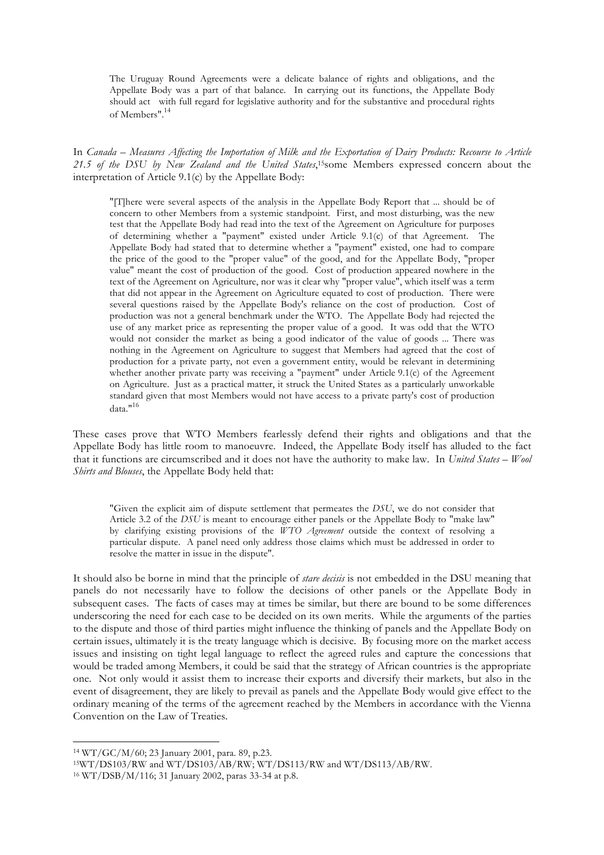The Uruguay Round Agreements were a delicate balance of rights and obligations, and the Appellate Body was a part of that balance. In carrying out its functions, the Appellate Body should act with full regard for legislative authority and for the substantive and procedural rights of Members".<sup>14</sup>

In *Canada – Measures Affecting the Importation of Milk and the Exportation of Dairy Products: Recourse to Article*  21.5 of the DSU by New Zealand and the United States,<sup>15</sup>some Members expressed concern about the interpretation of Article 9.1(c) by the Appellate Body:

"[T]here were several aspects of the analysis in the Appellate Body Report that ... should be of concern to other Members from a systemic standpoint. First, and most disturbing, was the new test that the Appellate Body had read into the text of the Agreement on Agriculture for purposes of determining whether a "payment" existed under Article 9.1(c) of that Agreement. The Appellate Body had stated that to determine whether a "payment" existed, one had to compare the price of the good to the "proper value" of the good, and for the Appellate Body, "proper value" meant the cost of production of the good. Cost of production appeared nowhere in the text of the Agreement on Agriculture, nor was it clear why "proper value", which itself was a term that did not appear in the Agreement on Agriculture equated to cost of production. There were several questions raised by the Appellate Body's reliance on the cost of production. Cost of production was not a general benchmark under the WTO. The Appellate Body had rejected the use of any market price as representing the proper value of a good. It was odd that the WTO would not consider the market as being a good indicator of the value of goods ... There was nothing in the Agreement on Agriculture to suggest that Members had agreed that the cost of production for a private party, not even a government entity, would be relevant in determining whether another private party was receiving a "payment" under Article 9.1(c) of the Agreement on Agriculture. Just as a practical matter, it struck the United States as a particularly unworkable standard given that most Members would not have access to a private party's cost of production data $n^{16}$ 

These cases prove that WTO Members fearlessly defend their rights and obligations and that the Appellate Body has little room to manoeuvre. Indeed, the Appellate Body itself has alluded to the fact that it functions are circumscribed and it does not have the authority to make law. In *United States – Wool Shirts and Blouses*, the Appellate Body held that:

"Given the explicit aim of dispute settlement that permeates the *DSU*, we do not consider that Article 3.2 of the *DSU* is meant to encourage either panels or the Appellate Body to "make law" by clarifying existing provisions of the *WTO Agreement* outside the context of resolving a particular dispute. A panel need only address those claims which must be addressed in order to resolve the matter in issue in the dispute".

It should also be borne in mind that the principle of *stare decisis* is not embedded in the DSU meaning that panels do not necessarily have to follow the decisions of other panels or the Appellate Body in subsequent cases. The facts of cases may at times be similar, but there are bound to be some differences underscoring the need for each case to be decided on its own merits. While the arguments of the parties to the dispute and those of third parties might influence the thinking of panels and the Appellate Body on certain issues, ultimately it is the treaty language which is decisive. By focusing more on the market access issues and insisting on tight legal language to reflect the agreed rules and capture the concessions that would be traded among Members, it could be said that the strategy of African countries is the appropriate one. Not only would it assist them to increase their exports and diversify their markets, but also in the event of disagreement, they are likely to prevail as panels and the Appellate Body would give effect to the ordinary meaning of the terms of the agreement reached by the Members in accordance with the Vienna Convention on the Law of Treaties.

<sup>14</sup> WT/GC/M/60; 23 January 2001, para. 89, p.23.

<sup>15</sup>WT/DS103/RW and WT/DS103/AB/RW; WT/DS113/RW and WT/DS113/AB/RW.

<sup>16</sup> WT/DSB/M/116; 31 January 2002, paras 33-34 at p.8.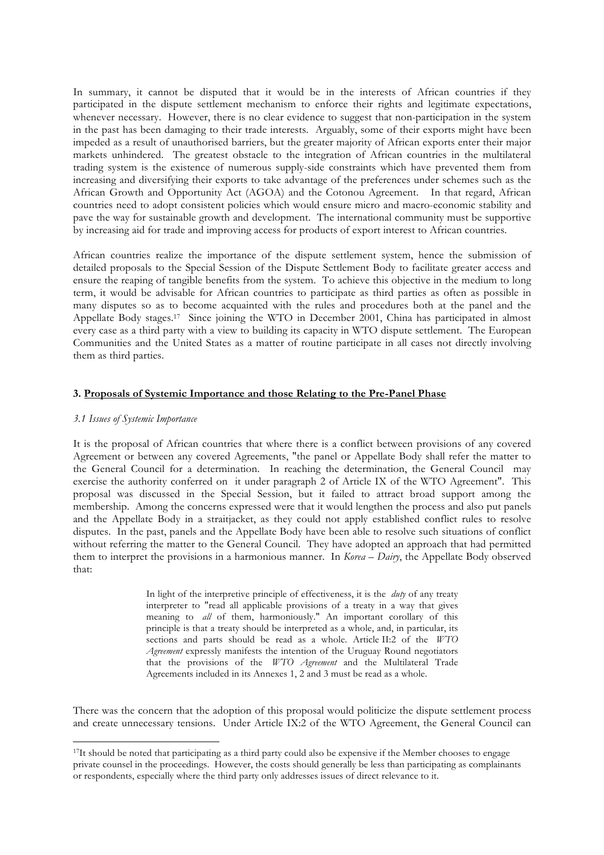In summary, it cannot be disputed that it would be in the interests of African countries if they participated in the dispute settlement mechanism to enforce their rights and legitimate expectations, whenever necessary. However, there is no clear evidence to suggest that non-participation in the system in the past has been damaging to their trade interests. Arguably, some of their exports might have been impeded as a result of unauthorised barriers, but the greater majority of African exports enter their major markets unhindered. The greatest obstacle to the integration of African countries in the multilateral trading system is the existence of numerous supply-side constraints which have prevented them from increasing and diversifying their exports to take advantage of the preferences under schemes such as the African Growth and Opportunity Act (AGOA) and the Cotonou Agreement. In that regard, African countries need to adopt consistent policies which would ensure micro and macro-economic stability and pave the way for sustainable growth and development. The international community must be supportive by increasing aid for trade and improving access for products of export interest to African countries.

African countries realize the importance of the dispute settlement system, hence the submission of detailed proposals to the Special Session of the Dispute Settlement Body to facilitate greater access and ensure the reaping of tangible benefits from the system. To achieve this objective in the medium to long term, it would be advisable for African countries to participate as third parties as often as possible in many disputes so as to become acquainted with the rules and procedures both at the panel and the Appellate Body stages.17 Since joining the WTO in December 2001, China has participated in almost every case as a third party with a view to building its capacity in WTO dispute settlement. The European Communities and the United States as a matter of routine participate in all cases not directly involving them as third parties.

## **3. Proposals of Systemic Importance and those Relating to the Pre-Panel Phase**

### *3.1 Issues of Systemic Importance*

 $\overline{a}$ 

It is the proposal of African countries that where there is a conflict between provisions of any covered Agreement or between any covered Agreements, "the panel or Appellate Body shall refer the matter to the General Council for a determination. In reaching the determination, the General Council may exercise the authority conferred on it under paragraph 2 of Article IX of the WTO Agreement". This proposal was discussed in the Special Session, but it failed to attract broad support among the membership. Among the concerns expressed were that it would lengthen the process and also put panels and the Appellate Body in a straitjacket, as they could not apply established conflict rules to resolve disputes. In the past, panels and the Appellate Body have been able to resolve such situations of conflict without referring the matter to the General Council. They have adopted an approach that had permitted them to interpret the provisions in a harmonious manner. In *Korea – Dairy*, the Appellate Body observed that:

> In light of the interpretive principle of effectiveness, it is the *duty* of any treaty interpreter to "read all applicable provisions of a treaty in a way that gives meaning to *all* of them, harmoniously." An important corollary of this principle is that a treaty should be interpreted as a whole, and, in particular, its sections and parts should be read as a whole. Article II:2 of the *WTO Agreement* expressly manifests the intention of the Uruguay Round negotiators that the provisions of the *WTO Agreement* and the Multilateral Trade Agreements included in its Annexes 1, 2 and 3 must be read as a whole.

There was the concern that the adoption of this proposal would politicize the dispute settlement process and create unnecessary tensions. Under Article IX:2 of the WTO Agreement, the General Council can

<sup>&</sup>lt;sup>17</sup>It should be noted that participating as a third party could also be expensive if the Member chooses to engage private counsel in the proceedings. However, the costs should generally be less than participating as complainants or respondents, especially where the third party only addresses issues of direct relevance to it.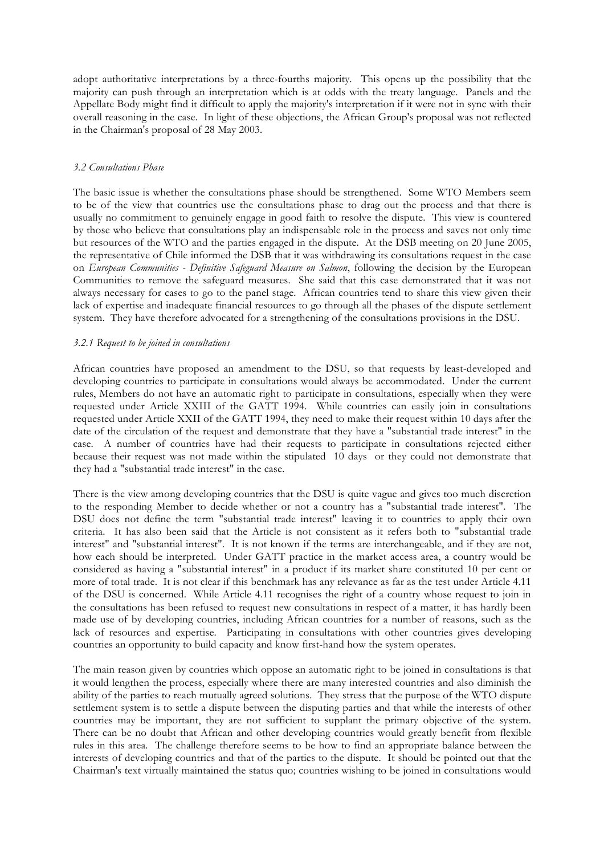adopt authoritative interpretations by a three-fourths majority. This opens up the possibility that the majority can push through an interpretation which is at odds with the treaty language. Panels and the Appellate Body might find it difficult to apply the majority's interpretation if it were not in sync with their overall reasoning in the case. In light of these objections, the African Group's proposal was not reflected in the Chairman's proposal of 28 May 2003.

### *3.2 Consultations Phase*

The basic issue is whether the consultations phase should be strengthened. Some WTO Members seem to be of the view that countries use the consultations phase to drag out the process and that there is usually no commitment to genuinely engage in good faith to resolve the dispute. This view is countered by those who believe that consultations play an indispensable role in the process and saves not only time but resources of the WTO and the parties engaged in the dispute. At the DSB meeting on 20 June 2005, the representative of Chile informed the DSB that it was withdrawing its consultations request in the case on *European Communities - Definitive Safeguard Measure on Salmon*, following the decision by the European Communities to remove the safeguard measures. She said that this case demonstrated that it was not always necessary for cases to go to the panel stage. African countries tend to share this view given their lack of expertise and inadequate financial resources to go through all the phases of the dispute settlement system. They have therefore advocated for a strengthening of the consultations provisions in the DSU.

#### *3.2.1 Request to be joined in consultations*

African countries have proposed an amendment to the DSU, so that requests by least-developed and developing countries to participate in consultations would always be accommodated. Under the current rules, Members do not have an automatic right to participate in consultations, especially when they were requested under Article XXIII of the GATT 1994. While countries can easily join in consultations requested under Article XXII of the GATT 1994, they need to make their request within 10 days after the date of the circulation of the request and demonstrate that they have a "substantial trade interest" in the case. A number of countries have had their requests to participate in consultations rejected either because their request was not made within the stipulated 10 days or they could not demonstrate that they had a "substantial trade interest" in the case.

There is the view among developing countries that the DSU is quite vague and gives too much discretion to the responding Member to decide whether or not a country has a "substantial trade interest". The DSU does not define the term "substantial trade interest" leaving it to countries to apply their own criteria. It has also been said that the Article is not consistent as it refers both to "substantial trade interest" and "substantial interest". It is not known if the terms are interchangeable, and if they are not, how each should be interpreted. Under GATT practice in the market access area, a country would be considered as having a "substantial interest" in a product if its market share constituted 10 per cent or more of total trade. It is not clear if this benchmark has any relevance as far as the test under Article 4.11 of the DSU is concerned. While Article 4.11 recognises the right of a country whose request to join in the consultations has been refused to request new consultations in respect of a matter, it has hardly been made use of by developing countries, including African countries for a number of reasons, such as the lack of resources and expertise. Participating in consultations with other countries gives developing countries an opportunity to build capacity and know first-hand how the system operates.

The main reason given by countries which oppose an automatic right to be joined in consultations is that it would lengthen the process, especially where there are many interested countries and also diminish the ability of the parties to reach mutually agreed solutions. They stress that the purpose of the WTO dispute settlement system is to settle a dispute between the disputing parties and that while the interests of other countries may be important, they are not sufficient to supplant the primary objective of the system. There can be no doubt that African and other developing countries would greatly benefit from flexible rules in this area. The challenge therefore seems to be how to find an appropriate balance between the interests of developing countries and that of the parties to the dispute. It should be pointed out that the Chairman's text virtually maintained the status quo; countries wishing to be joined in consultations would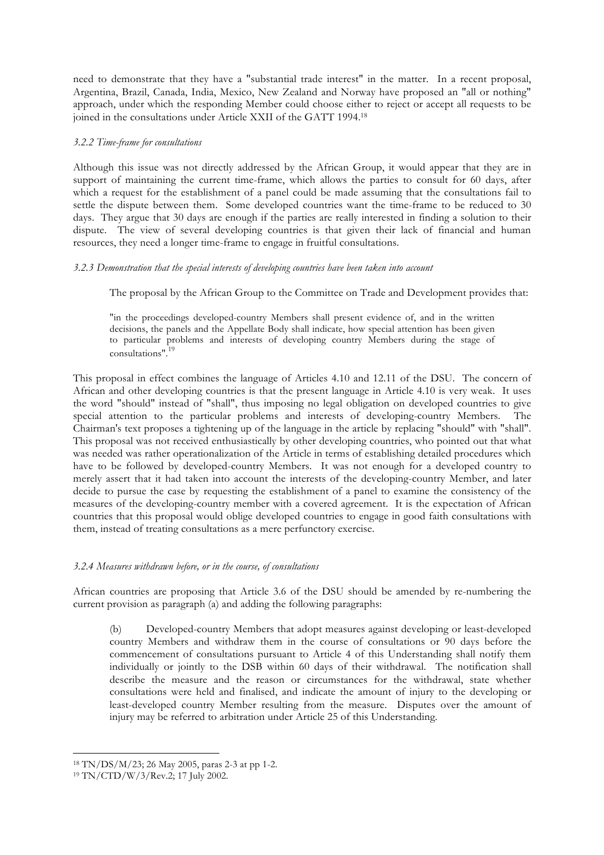need to demonstrate that they have a "substantial trade interest" in the matter. In a recent proposal, Argentina, Brazil, Canada, India, Mexico, New Zealand and Norway have proposed an "all or nothing" approach, under which the responding Member could choose either to reject or accept all requests to be joined in the consultations under Article XXII of the GATT 1994.18

## *3.2.2 Time-frame for consultations*

Although this issue was not directly addressed by the African Group, it would appear that they are in support of maintaining the current time-frame, which allows the parties to consult for 60 days, after which a request for the establishment of a panel could be made assuming that the consultations fail to settle the dispute between them. Some developed countries want the time-frame to be reduced to 30 days. They argue that 30 days are enough if the parties are really interested in finding a solution to their dispute. The view of several developing countries is that given their lack of financial and human resources, they need a longer time-frame to engage in fruitful consultations.

## *3.2.3 Demonstration that the special interests of developing countries have been taken into account*

The proposal by the African Group to the Committee on Trade and Development provides that:

"in the proceedings developed-country Members shall present evidence of, and in the written decisions, the panels and the Appellate Body shall indicate, how special attention has been given to particular problems and interests of developing country Members during the stage of consultations".<sup>19</sup>

This proposal in effect combines the language of Articles 4.10 and 12.11 of the DSU. The concern of African and other developing countries is that the present language in Article 4.10 is very weak. It uses the word "should" instead of "shall", thus imposing no legal obligation on developed countries to give special attention to the particular problems and interests of developing-country Members. The Chairman's text proposes a tightening up of the language in the article by replacing "should" with "shall". This proposal was not received enthusiastically by other developing countries, who pointed out that what was needed was rather operationalization of the Article in terms of establishing detailed procedures which have to be followed by developed-country Members. It was not enough for a developed country to merely assert that it had taken into account the interests of the developing-country Member, and later decide to pursue the case by requesting the establishment of a panel to examine the consistency of the measures of the developing-country member with a covered agreement. It is the expectation of African countries that this proposal would oblige developed countries to engage in good faith consultations with them, instead of treating consultations as a mere perfunctory exercise.

# *3.2.4 Measures withdrawn before, or in the course, of consultations*

African countries are proposing that Article 3.6 of the DSU should be amended by re-numbering the current provision as paragraph (a) and adding the following paragraphs:

(b) Developed-country Members that adopt measures against developing or least-developed country Members and withdraw them in the course of consultations or 90 days before the commencement of consultations pursuant to Article 4 of this Understanding shall notify them individually or jointly to the DSB within 60 days of their withdrawal. The notification shall describe the measure and the reason or circumstances for the withdrawal, state whether consultations were held and finalised, and indicate the amount of injury to the developing or least-developed country Member resulting from the measure. Disputes over the amount of injury may be referred to arbitration under Article 25 of this Understanding.

<sup>18</sup> TN/DS/M/23; 26 May 2005, paras 2-3 at pp 1-2.

<sup>19</sup> TN/CTD/W/3/Rev.2; 17 July 2002.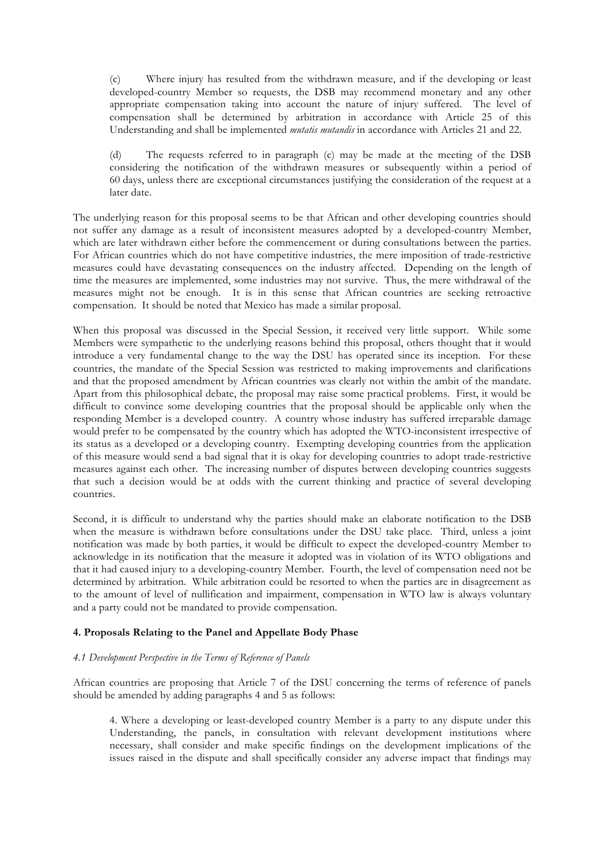(c) Where injury has resulted from the withdrawn measure, and if the developing or least developed-country Member so requests, the DSB may recommend monetary and any other appropriate compensation taking into account the nature of injury suffered. The level of compensation shall be determined by arbitration in accordance with Article 25 of this Understanding and shall be implemented *mutatis mutandis* in accordance with Articles 21 and 22.

(d) The requests referred to in paragraph (c) may be made at the meeting of the DSB considering the notification of the withdrawn measures or subsequently within a period of 60 days, unless there are exceptional circumstances justifying the consideration of the request at a later date.

The underlying reason for this proposal seems to be that African and other developing countries should not suffer any damage as a result of inconsistent measures adopted by a developed-country Member, which are later withdrawn either before the commencement or during consultations between the parties. For African countries which do not have competitive industries, the mere imposition of trade-restrictive measures could have devastating consequences on the industry affected. Depending on the length of time the measures are implemented, some industries may not survive. Thus, the mere withdrawal of the measures might not be enough. It is in this sense that African countries are seeking retroactive compensation. It should be noted that Mexico has made a similar proposal.

When this proposal was discussed in the Special Session, it received very little support. While some Members were sympathetic to the underlying reasons behind this proposal, others thought that it would introduce a very fundamental change to the way the DSU has operated since its inception. For these countries, the mandate of the Special Session was restricted to making improvements and clarifications and that the proposed amendment by African countries was clearly not within the ambit of the mandate. Apart from this philosophical debate, the proposal may raise some practical problems. First, it would be difficult to convince some developing countries that the proposal should be applicable only when the responding Member is a developed country. A country whose industry has suffered irreparable damage would prefer to be compensated by the country which has adopted the WTO-inconsistent irrespective of its status as a developed or a developing country. Exempting developing countries from the application of this measure would send a bad signal that it is okay for developing countries to adopt trade-restrictive measures against each other. The increasing number of disputes between developing countries suggests that such a decision would be at odds with the current thinking and practice of several developing countries.

Second, it is difficult to understand why the parties should make an elaborate notification to the DSB when the measure is withdrawn before consultations under the DSU take place. Third, unless a joint notification was made by both parties, it would be difficult to expect the developed-country Member to acknowledge in its notification that the measure it adopted was in violation of its WTO obligations and that it had caused injury to a developing-country Member. Fourth, the level of compensation need not be determined by arbitration. While arbitration could be resorted to when the parties are in disagreement as to the amount of level of nullification and impairment, compensation in WTO law is always voluntary and a party could not be mandated to provide compensation.

### **4. Proposals Relating to the Panel and Appellate Body Phase**

### *4.1 Development Perspective in the Terms of Reference of Panels*

African countries are proposing that Article 7 of the DSU concerning the terms of reference of panels should be amended by adding paragraphs 4 and 5 as follows:

4. Where a developing or least-developed country Member is a party to any dispute under this Understanding, the panels, in consultation with relevant development institutions where necessary, shall consider and make specific findings on the development implications of the issues raised in the dispute and shall specifically consider any adverse impact that findings may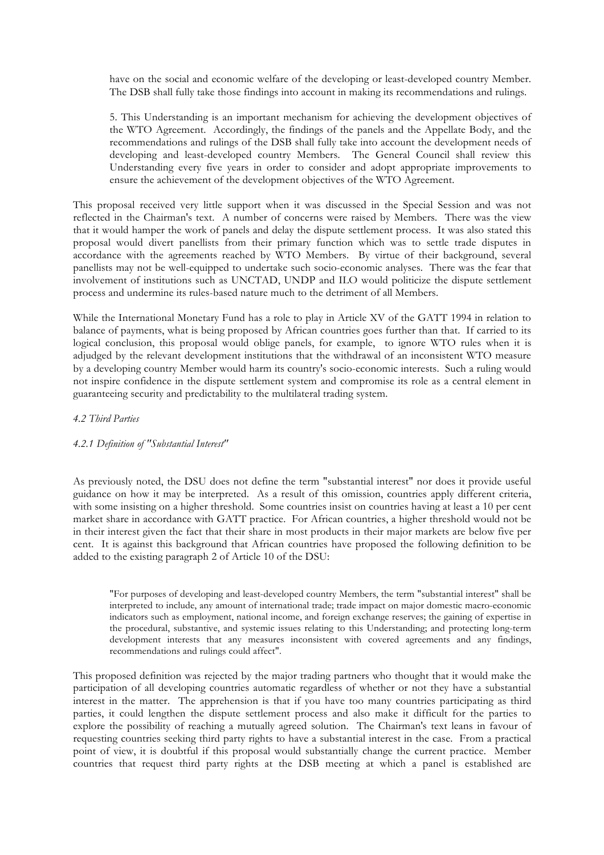have on the social and economic welfare of the developing or least-developed country Member. The DSB shall fully take those findings into account in making its recommendations and rulings.

5. This Understanding is an important mechanism for achieving the development objectives of the WTO Agreement. Accordingly, the findings of the panels and the Appellate Body, and the recommendations and rulings of the DSB shall fully take into account the development needs of developing and least-developed country Members. The General Council shall review this Understanding every five years in order to consider and adopt appropriate improvements to ensure the achievement of the development objectives of the WTO Agreement.

This proposal received very little support when it was discussed in the Special Session and was not reflected in the Chairman's text. A number of concerns were raised by Members. There was the view that it would hamper the work of panels and delay the dispute settlement process. It was also stated this proposal would divert panellists from their primary function which was to settle trade disputes in accordance with the agreements reached by WTO Members. By virtue of their background, several panellists may not be well-equipped to undertake such socio-economic analyses. There was the fear that involvement of institutions such as UNCTAD, UNDP and ILO would politicize the dispute settlement process and undermine its rules-based nature much to the detriment of all Members.

While the International Monetary Fund has a role to play in Article XV of the GATT 1994 in relation to balance of payments, what is being proposed by African countries goes further than that. If carried to its logical conclusion, this proposal would oblige panels, for example, to ignore WTO rules when it is adjudged by the relevant development institutions that the withdrawal of an inconsistent WTO measure by a developing country Member would harm its country's socio-economic interests. Such a ruling would not inspire confidence in the dispute settlement system and compromise its role as a central element in guaranteeing security and predictability to the multilateral trading system.

### *4.2 Third Parties*

# *4.2.1 Definition of "Substantial Interest"*

As previously noted, the DSU does not define the term "substantial interest" nor does it provide useful guidance on how it may be interpreted. As a result of this omission, countries apply different criteria, with some insisting on a higher threshold. Some countries insist on countries having at least a 10 per cent market share in accordance with GATT practice. For African countries, a higher threshold would not be in their interest given the fact that their share in most products in their major markets are below five per cent. It is against this background that African countries have proposed the following definition to be added to the existing paragraph 2 of Article 10 of the DSU:

"For purposes of developing and least-developed country Members, the term "substantial interest" shall be interpreted to include, any amount of international trade; trade impact on major domestic macro-economic indicators such as employment, national income, and foreign exchange reserves; the gaining of expertise in the procedural, substantive, and systemic issues relating to this Understanding; and protecting long-term development interests that any measures inconsistent with covered agreements and any findings, recommendations and rulings could affect".

This proposed definition was rejected by the major trading partners who thought that it would make the participation of all developing countries automatic regardless of whether or not they have a substantial interest in the matter. The apprehension is that if you have too many countries participating as third parties, it could lengthen the dispute settlement process and also make it difficult for the parties to explore the possibility of reaching a mutually agreed solution. The Chairman's text leans in favour of requesting countries seeking third party rights to have a substantial interest in the case. From a practical point of view, it is doubtful if this proposal would substantially change the current practice. Member countries that request third party rights at the DSB meeting at which a panel is established are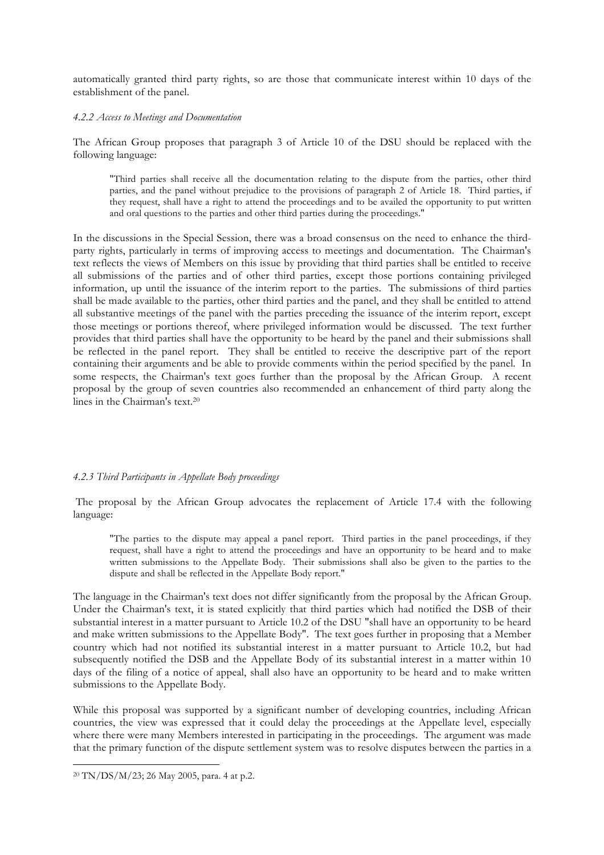automatically granted third party rights, so are those that communicate interest within 10 days of the establishment of the panel.

#### *4.2.2 Access to Meetings and Documentation*

The African Group proposes that paragraph 3 of Article 10 of the DSU should be replaced with the following language:

"Third parties shall receive all the documentation relating to the dispute from the parties, other third parties, and the panel without prejudice to the provisions of paragraph 2 of Article 18. Third parties, if they request, shall have a right to attend the proceedings and to be availed the opportunity to put written and oral questions to the parties and other third parties during the proceedings."

In the discussions in the Special Session, there was a broad consensus on the need to enhance the thirdparty rights, particularly in terms of improving access to meetings and documentation. The Chairman's text reflects the views of Members on this issue by providing that third parties shall be entitled to receive all submissions of the parties and of other third parties, except those portions containing privileged information, up until the issuance of the interim report to the parties. The submissions of third parties shall be made available to the parties, other third parties and the panel, and they shall be entitled to attend all substantive meetings of the panel with the parties preceding the issuance of the interim report, except those meetings or portions thereof, where privileged information would be discussed. The text further provides that third parties shall have the opportunity to be heard by the panel and their submissions shall be reflected in the panel report. They shall be entitled to receive the descriptive part of the report containing their arguments and be able to provide comments within the period specified by the panel. In some respects, the Chairman's text goes further than the proposal by the African Group. A recent proposal by the group of seven countries also recommended an enhancement of third party along the lines in the Chairman's text.20

### *4.2.3 Third Participants in Appellate Body proceedings*

The proposal by the African Group advocates the replacement of Article 17.4 with the following language:

"The parties to the dispute may appeal a panel report. Third parties in the panel proceedings, if they request, shall have a right to attend the proceedings and have an opportunity to be heard and to make written submissions to the Appellate Body. Their submissions shall also be given to the parties to the dispute and shall be reflected in the Appellate Body report."

The language in the Chairman's text does not differ significantly from the proposal by the African Group. Under the Chairman's text, it is stated explicitly that third parties which had notified the DSB of their substantial interest in a matter pursuant to Article 10.2 of the DSU "shall have an opportunity to be heard and make written submissions to the Appellate Body". The text goes further in proposing that a Member country which had not notified its substantial interest in a matter pursuant to Article 10.2, but had subsequently notified the DSB and the Appellate Body of its substantial interest in a matter within 10 days of the filing of a notice of appeal, shall also have an opportunity to be heard and to make written submissions to the Appellate Body.

While this proposal was supported by a significant number of developing countries, including African countries, the view was expressed that it could delay the proceedings at the Appellate level, especially where there were many Members interested in participating in the proceedings. The argument was made that the primary function of the dispute settlement system was to resolve disputes between the parties in a

<sup>20</sup> TN/DS/M/23; 26 May 2005, para. 4 at p.2.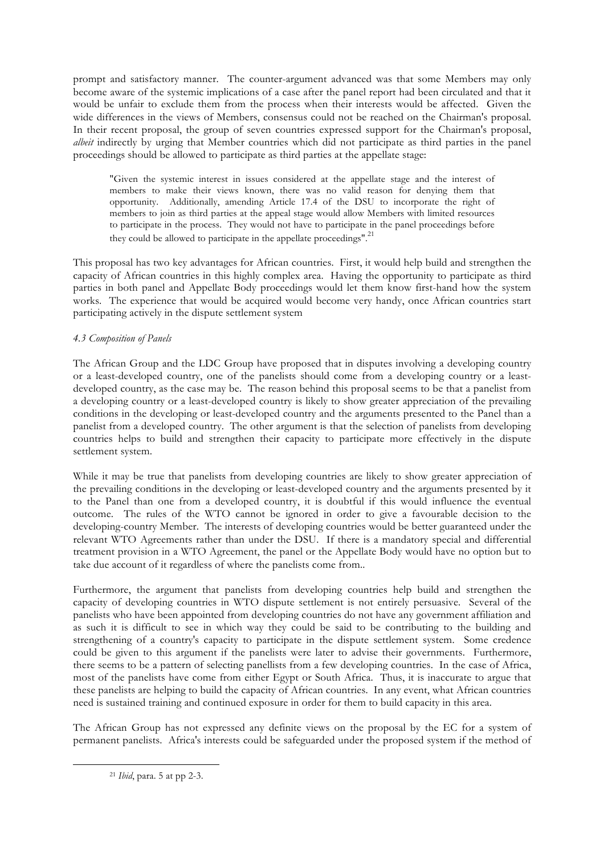prompt and satisfactory manner. The counter-argument advanced was that some Members may only become aware of the systemic implications of a case after the panel report had been circulated and that it would be unfair to exclude them from the process when their interests would be affected. Given the wide differences in the views of Members, consensus could not be reached on the Chairman's proposal. In their recent proposal, the group of seven countries expressed support for the Chairman's proposal, *albeit* indirectly by urging that Member countries which did not participate as third parties in the panel proceedings should be allowed to participate as third parties at the appellate stage:

"Given the systemic interest in issues considered at the appellate stage and the interest of members to make their views known, there was no valid reason for denying them that opportunity. Additionally, amending Article 17.4 of the DSU to incorporate the right of members to join as third parties at the appeal stage would allow Members with limited resources to participate in the process. They would not have to participate in the panel proceedings before they could be allowed to participate in the appellate proceedings".<sup>21</sup>

This proposal has two key advantages for African countries. First, it would help build and strengthen the capacity of African countries in this highly complex area. Having the opportunity to participate as third parties in both panel and Appellate Body proceedings would let them know first-hand how the system works. The experience that would be acquired would become very handy, once African countries start participating actively in the dispute settlement system

# *4.3 Composition of Panels*

The African Group and the LDC Group have proposed that in disputes involving a developing country or a least-developed country, one of the panelists should come from a developing country or a leastdeveloped country, as the case may be. The reason behind this proposal seems to be that a panelist from a developing country or a least-developed country is likely to show greater appreciation of the prevailing conditions in the developing or least-developed country and the arguments presented to the Panel than a panelist from a developed country. The other argument is that the selection of panelists from developing countries helps to build and strengthen their capacity to participate more effectively in the dispute settlement system.

While it may be true that panelists from developing countries are likely to show greater appreciation of the prevailing conditions in the developing or least-developed country and the arguments presented by it to the Panel than one from a developed country, it is doubtful if this would influence the eventual outcome. The rules of the WTO cannot be ignored in order to give a favourable decision to the developing-country Member. The interests of developing countries would be better guaranteed under the relevant WTO Agreements rather than under the DSU. If there is a mandatory special and differential treatment provision in a WTO Agreement, the panel or the Appellate Body would have no option but to take due account of it regardless of where the panelists come from..

Furthermore, the argument that panelists from developing countries help build and strengthen the capacity of developing countries in WTO dispute settlement is not entirely persuasive. Several of the panelists who have been appointed from developing countries do not have any government affiliation and as such it is difficult to see in which way they could be said to be contributing to the building and strengthening of a country's capacity to participate in the dispute settlement system. Some credence could be given to this argument if the panelists were later to advise their governments. Furthermore, there seems to be a pattern of selecting panellists from a few developing countries. In the case of Africa, most of the panelists have come from either Egypt or South Africa. Thus, it is inaccurate to argue that these panelists are helping to build the capacity of African countries. In any event, what African countries need is sustained training and continued exposure in order for them to build capacity in this area.

The African Group has not expressed any definite views on the proposal by the EC for a system of permanent panelists. Africa's interests could be safeguarded under the proposed system if the method of

<sup>21</sup> *Ibid*, para. 5 at pp 2-3.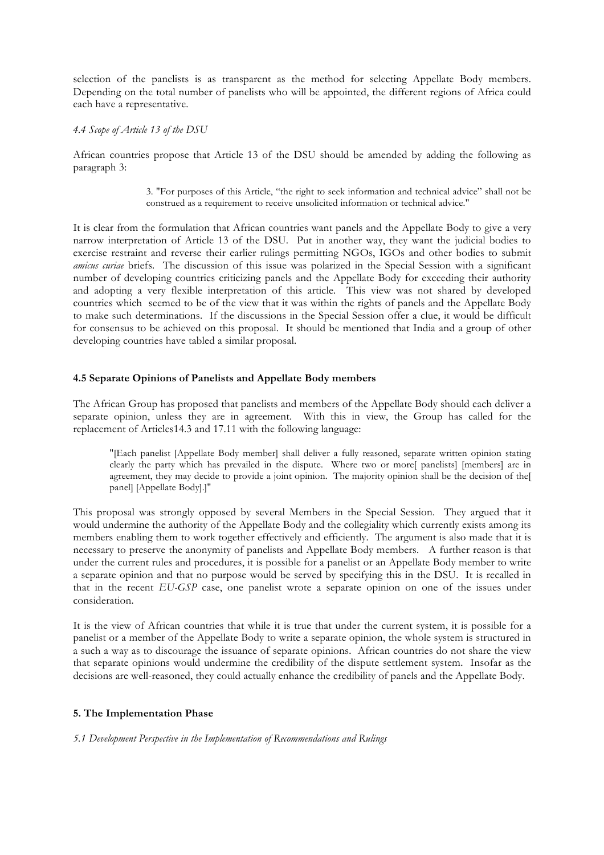selection of the panelists is as transparent as the method for selecting Appellate Body members. Depending on the total number of panelists who will be appointed, the different regions of Africa could each have a representative.

## *4.4 Scope of Article 13 of the DSU*

African countries propose that Article 13 of the DSU should be amended by adding the following as paragraph 3:

> 3. "For purposes of this Article, "the right to seek information and technical advice" shall not be construed as a requirement to receive unsolicited information or technical advice."

It is clear from the formulation that African countries want panels and the Appellate Body to give a very narrow interpretation of Article 13 of the DSU. Put in another way, they want the judicial bodies to exercise restraint and reverse their earlier rulings permitting NGOs, IGOs and other bodies to submit *amicus curiae* briefs. The discussion of this issue was polarized in the Special Session with a significant number of developing countries criticizing panels and the Appellate Body for exceeding their authority and adopting a very flexible interpretation of this article. This view was not shared by developed countries which seemed to be of the view that it was within the rights of panels and the Appellate Body to make such determinations. If the discussions in the Special Session offer a clue, it would be difficult for consensus to be achieved on this proposal. It should be mentioned that India and a group of other developing countries have tabled a similar proposal.

# **4.5 Separate Opinions of Panelists and Appellate Body members**

The African Group has proposed that panelists and members of the Appellate Body should each deliver a separate opinion, unless they are in agreement. With this in view, the Group has called for the replacement of Articles14.3 and 17.11 with the following language:

"[Each panelist [Appellate Body member] shall deliver a fully reasoned, separate written opinion stating clearly the party which has prevailed in the dispute. Where two or more[ panelists] [members] are in agreement, they may decide to provide a joint opinion. The majority opinion shall be the decision of the[ panel] [Appellate Body].]"

This proposal was strongly opposed by several Members in the Special Session. They argued that it would undermine the authority of the Appellate Body and the collegiality which currently exists among its members enabling them to work together effectively and efficiently. The argument is also made that it is necessary to preserve the anonymity of panelists and Appellate Body members. A further reason is that under the current rules and procedures, it is possible for a panelist or an Appellate Body member to write a separate opinion and that no purpose would be served by specifying this in the DSU. It is recalled in that in the recent *EU-GSP* case, one panelist wrote a separate opinion on one of the issues under consideration.

It is the view of African countries that while it is true that under the current system, it is possible for a panelist or a member of the Appellate Body to write a separate opinion, the whole system is structured in a such a way as to discourage the issuance of separate opinions. African countries do not share the view that separate opinions would undermine the credibility of the dispute settlement system. Insofar as the decisions are well-reasoned, they could actually enhance the credibility of panels and the Appellate Body.

# **5. The Implementation Phase**

### *5.1 Development Perspective in the Implementation of Recommendations and Rulings*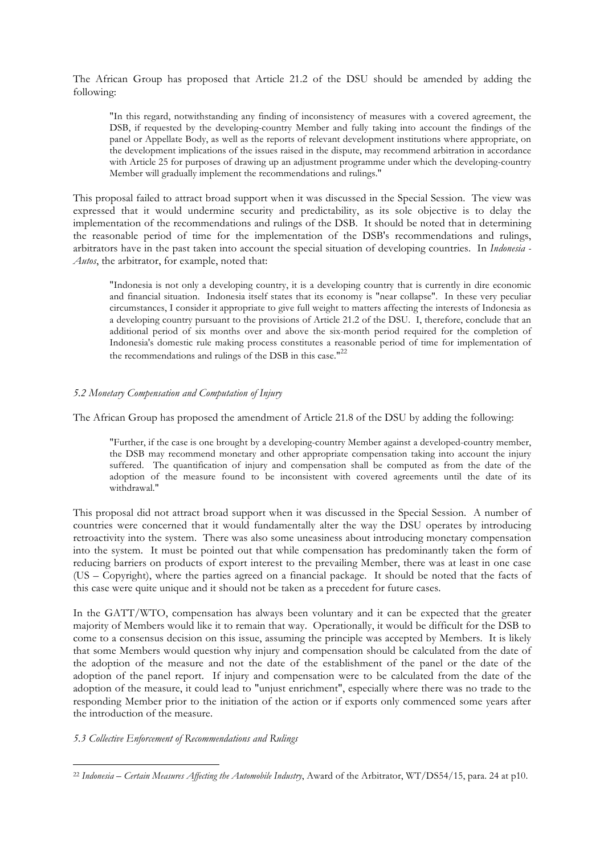The African Group has proposed that Article 21.2 of the DSU should be amended by adding the following:

"In this regard, notwithstanding any finding of inconsistency of measures with a covered agreement, the DSB, if requested by the developing-country Member and fully taking into account the findings of the panel or Appellate Body, as well as the reports of relevant development institutions where appropriate, on the development implications of the issues raised in the dispute, may recommend arbitration in accordance with Article 25 for purposes of drawing up an adjustment programme under which the developing-country Member will gradually implement the recommendations and rulings."

This proposal failed to attract broad support when it was discussed in the Special Session. The view was expressed that it would undermine security and predictability, as its sole objective is to delay the implementation of the recommendations and rulings of the DSB. It should be noted that in determining the reasonable period of time for the implementation of the DSB's recommendations and rulings, arbitrators have in the past taken into account the special situation of developing countries. In *Indonesia - Autos*, the arbitrator, for example, noted that:

"Indonesia is not only a developing country, it is a developing country that is currently in dire economic and financial situation. Indonesia itself states that its economy is "near collapse". In these very peculiar circumstances, I consider it appropriate to give full weight to matters affecting the interests of Indonesia as a developing country pursuant to the provisions of Article 21.2 of the DSU. I, therefore, conclude that an additional period of six months over and above the six-month period required for the completion of Indonesia's domestic rule making process constitutes a reasonable period of time for implementation of the recommendations and rulings of the DSB in this case." $^{22}$ 

### *5.2 Monetary Compensation and Computation of Injury*

The African Group has proposed the amendment of Article 21.8 of the DSU by adding the following:

"Further, if the case is one brought by a developing-country Member against a developed-country member, the DSB may recommend monetary and other appropriate compensation taking into account the injury suffered. The quantification of injury and compensation shall be computed as from the date of the adoption of the measure found to be inconsistent with covered agreements until the date of its withdrawal."

This proposal did not attract broad support when it was discussed in the Special Session. A number of countries were concerned that it would fundamentally alter the way the DSU operates by introducing retroactivity into the system. There was also some uneasiness about introducing monetary compensation into the system. It must be pointed out that while compensation has predominantly taken the form of reducing barriers on products of export interest to the prevailing Member, there was at least in one case (US – Copyright), where the parties agreed on a financial package. It should be noted that the facts of this case were quite unique and it should not be taken as a precedent for future cases.

In the GATT/WTO, compensation has always been voluntary and it can be expected that the greater majority of Members would like it to remain that way. Operationally, it would be difficult for the DSB to come to a consensus decision on this issue, assuming the principle was accepted by Members. It is likely that some Members would question why injury and compensation should be calculated from the date of the adoption of the measure and not the date of the establishment of the panel or the date of the adoption of the panel report. If injury and compensation were to be calculated from the date of the adoption of the measure, it could lead to "unjust enrichment", especially where there was no trade to the responding Member prior to the initiation of the action or if exports only commenced some years after the introduction of the measure.

## *5.3 Collective Enforcement of Recommendations and Rulings*

<sup>22</sup> *Indonesia – Certain Measures Affecting the Automobile Industry*, Award of the Arbitrator, WT/DS54/15, para. 24 at p10.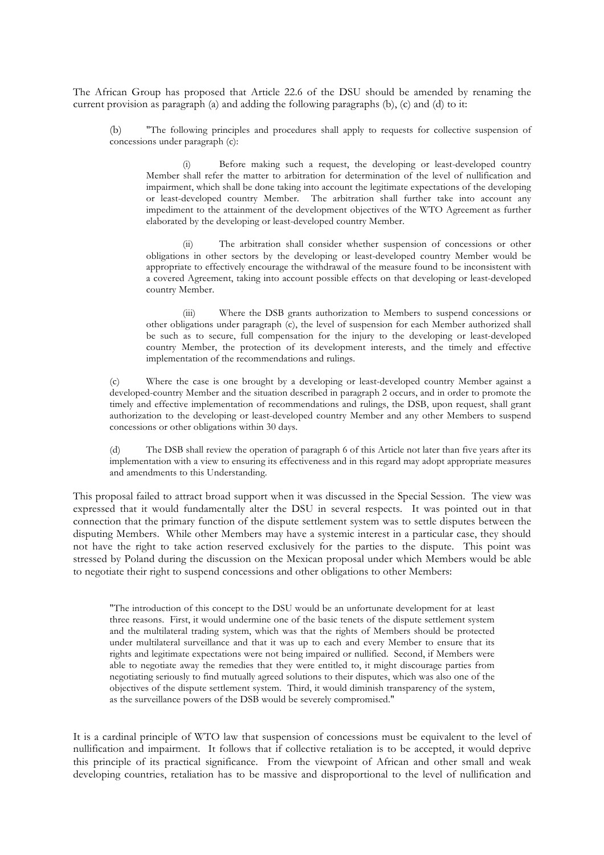The African Group has proposed that Article 22.6 of the DSU should be amended by renaming the current provision as paragraph (a) and adding the following paragraphs (b), (c) and (d) to it:

(b) "The following principles and procedures shall apply to requests for collective suspension of concessions under paragraph (c):

(i) Before making such a request, the developing or least-developed country Member shall refer the matter to arbitration for determination of the level of nullification and impairment, which shall be done taking into account the legitimate expectations of the developing or least-developed country Member. The arbitration shall further take into account any impediment to the attainment of the development objectives of the WTO Agreement as further elaborated by the developing or least-developed country Member.

The arbitration shall consider whether suspension of concessions or other obligations in other sectors by the developing or least-developed country Member would be appropriate to effectively encourage the withdrawal of the measure found to be inconsistent with a covered Agreement, taking into account possible effects on that developing or least-developed country Member.

(iii) Where the DSB grants authorization to Members to suspend concessions or other obligations under paragraph (c), the level of suspension for each Member authorized shall be such as to secure, full compensation for the injury to the developing or least-developed country Member, the protection of its development interests, and the timely and effective implementation of the recommendations and rulings.

(c) Where the case is one brought by a developing or least-developed country Member against a developed-country Member and the situation described in paragraph 2 occurs, and in order to promote the timely and effective implementation of recommendations and rulings, the DSB, upon request, shall grant authorization to the developing or least-developed country Member and any other Members to suspend concessions or other obligations within 30 days.

The DSB shall review the operation of paragraph 6 of this Article not later than five years after its implementation with a view to ensuring its effectiveness and in this regard may adopt appropriate measures and amendments to this Understanding.

This proposal failed to attract broad support when it was discussed in the Special Session. The view was expressed that it would fundamentally alter the DSU in several respects. It was pointed out in that connection that the primary function of the dispute settlement system was to settle disputes between the disputing Members. While other Members may have a systemic interest in a particular case, they should not have the right to take action reserved exclusively for the parties to the dispute. This point was stressed by Poland during the discussion on the Mexican proposal under which Members would be able to negotiate their right to suspend concessions and other obligations to other Members:

"The introduction of this concept to the DSU would be an unfortunate development for at least three reasons. First, it would undermine one of the basic tenets of the dispute settlement system and the multilateral trading system, which was that the rights of Members should be protected under multilateral surveillance and that it was up to each and every Member to ensure that its rights and legitimate expectations were not being impaired or nullified. Second, if Members were able to negotiate away the remedies that they were entitled to, it might discourage parties from negotiating seriously to find mutually agreed solutions to their disputes, which was also one of the objectives of the dispute settlement system. Third, it would diminish transparency of the system, as the surveillance powers of the DSB would be severely compromised."

It is a cardinal principle of WTO law that suspension of concessions must be equivalent to the level of nullification and impairment. It follows that if collective retaliation is to be accepted, it would deprive this principle of its practical significance. From the viewpoint of African and other small and weak developing countries, retaliation has to be massive and disproportional to the level of nullification and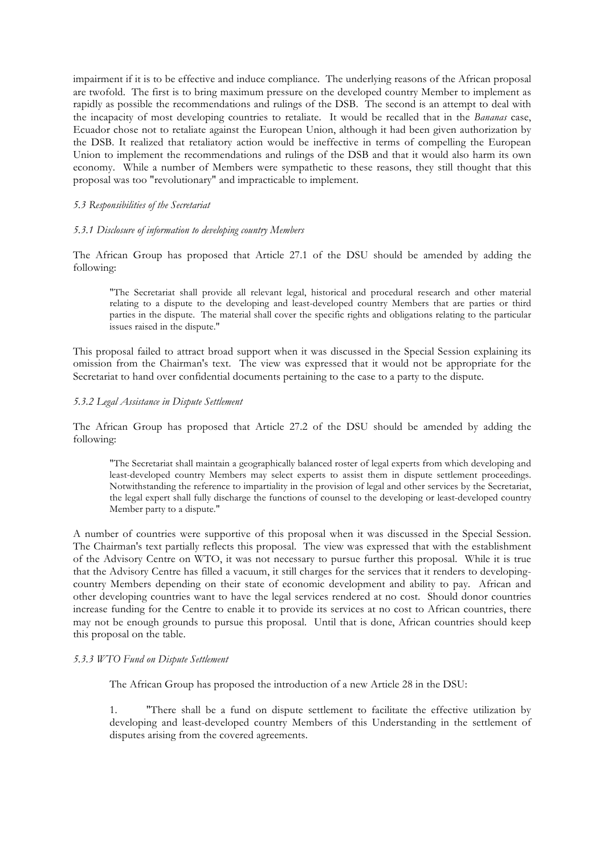impairment if it is to be effective and induce compliance. The underlying reasons of the African proposal are twofold. The first is to bring maximum pressure on the developed country Member to implement as rapidly as possible the recommendations and rulings of the DSB. The second is an attempt to deal with the incapacity of most developing countries to retaliate. It would be recalled that in the *Bananas* case, Ecuador chose not to retaliate against the European Union, although it had been given authorization by the DSB. It realized that retaliatory action would be ineffective in terms of compelling the European Union to implement the recommendations and rulings of the DSB and that it would also harm its own economy. While a number of Members were sympathetic to these reasons, they still thought that this proposal was too "revolutionary" and impracticable to implement.

### *5.3 Responsibilities of the Secretariat*

### *5.3.1 Disclosure of information to developing country Members*

The African Group has proposed that Article 27.1 of the DSU should be amended by adding the following:

"The Secretariat shall provide all relevant legal, historical and procedural research and other material relating to a dispute to the developing and least-developed country Members that are parties or third parties in the dispute. The material shall cover the specific rights and obligations relating to the particular issues raised in the dispute."

This proposal failed to attract broad support when it was discussed in the Special Session explaining its omission from the Chairman's text. The view was expressed that it would not be appropriate for the Secretariat to hand over confidential documents pertaining to the case to a party to the dispute.

### *5.3.2 Legal Assistance in Dispute Settlement*

The African Group has proposed that Article 27.2 of the DSU should be amended by adding the following:

"The Secretariat shall maintain a geographically balanced roster of legal experts from which developing and least-developed country Members may select experts to assist them in dispute settlement proceedings. Notwithstanding the reference to impartiality in the provision of legal and other services by the Secretariat, the legal expert shall fully discharge the functions of counsel to the developing or least-developed country Member party to a dispute."

A number of countries were supportive of this proposal when it was discussed in the Special Session. The Chairman's text partially reflects this proposal. The view was expressed that with the establishment of the Advisory Centre on WTO, it was not necessary to pursue further this proposal. While it is true that the Advisory Centre has filled a vacuum, it still charges for the services that it renders to developingcountry Members depending on their state of economic development and ability to pay. African and other developing countries want to have the legal services rendered at no cost. Should donor countries increase funding for the Centre to enable it to provide its services at no cost to African countries, there may not be enough grounds to pursue this proposal. Until that is done, African countries should keep this proposal on the table.

### *5.3.3 WTO Fund on Dispute Settlement*

The African Group has proposed the introduction of a new Article 28 in the DSU:

1. "There shall be a fund on dispute settlement to facilitate the effective utilization by developing and least-developed country Members of this Understanding in the settlement of disputes arising from the covered agreements.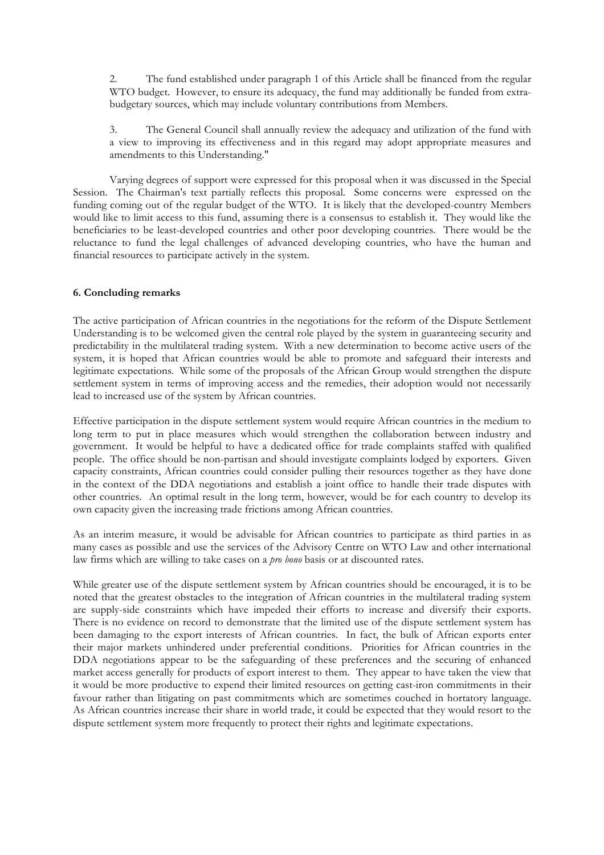2. The fund established under paragraph 1 of this Article shall be financed from the regular WTO budget. However, to ensure its adequacy, the fund may additionally be funded from extrabudgetary sources, which may include voluntary contributions from Members.

3. The General Council shall annually review the adequacy and utilization of the fund with a view to improving its effectiveness and in this regard may adopt appropriate measures and amendments to this Understanding."

Varying degrees of support were expressed for this proposal when it was discussed in the Special Session. The Chairman's text partially reflects this proposal. Some concerns were expressed on the funding coming out of the regular budget of the WTO. It is likely that the developed-country Members would like to limit access to this fund, assuming there is a consensus to establish it. They would like the beneficiaries to be least-developed countries and other poor developing countries. There would be the reluctance to fund the legal challenges of advanced developing countries, who have the human and financial resources to participate actively in the system.

## **6. Concluding remarks**

The active participation of African countries in the negotiations for the reform of the Dispute Settlement Understanding is to be welcomed given the central role played by the system in guaranteeing security and predictability in the multilateral trading system. With a new determination to become active users of the system, it is hoped that African countries would be able to promote and safeguard their interests and legitimate expectations. While some of the proposals of the African Group would strengthen the dispute settlement system in terms of improving access and the remedies, their adoption would not necessarily lead to increased use of the system by African countries.

Effective participation in the dispute settlement system would require African countries in the medium to long term to put in place measures which would strengthen the collaboration between industry and government. It would be helpful to have a dedicated office for trade complaints staffed with qualified people. The office should be non-partisan and should investigate complaints lodged by exporters. Given capacity constraints, African countries could consider pulling their resources together as they have done in the context of the DDA negotiations and establish a joint office to handle their trade disputes with other countries. An optimal result in the long term, however, would be for each country to develop its own capacity given the increasing trade frictions among African countries.

As an interim measure, it would be advisable for African countries to participate as third parties in as many cases as possible and use the services of the Advisory Centre on WTO Law and other international law firms which are willing to take cases on a *pro bono* basis or at discounted rates.

While greater use of the dispute settlement system by African countries should be encouraged, it is to be noted that the greatest obstacles to the integration of African countries in the multilateral trading system are supply-side constraints which have impeded their efforts to increase and diversify their exports. There is no evidence on record to demonstrate that the limited use of the dispute settlement system has been damaging to the export interests of African countries. In fact, the bulk of African exports enter their major markets unhindered under preferential conditions. Priorities for African countries in the DDA negotiations appear to be the safeguarding of these preferences and the securing of enhanced market access generally for products of export interest to them. They appear to have taken the view that it would be more productive to expend their limited resources on getting cast-iron commitments in their favour rather than litigating on past commitments which are sometimes couched in hortatory language. As African countries increase their share in world trade, it could be expected that they would resort to the dispute settlement system more frequently to protect their rights and legitimate expectations.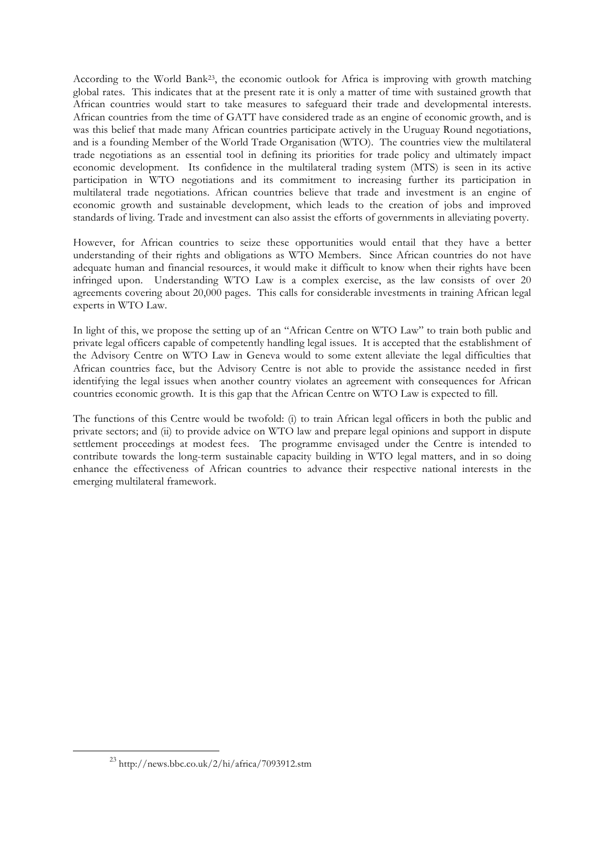According to the World Bank23, the economic outlook for Africa is improving with growth matching global rates. This indicates that at the present rate it is only a matter of time with sustained growth that African countries would start to take measures to safeguard their trade and developmental interests. African countries from the time of GATT have considered trade as an engine of economic growth, and is was this belief that made many African countries participate actively in the Uruguay Round negotiations, and is a founding Member of the World Trade Organisation (WTO). The countries view the multilateral trade negotiations as an essential tool in defining its priorities for trade policy and ultimately impact economic development. Its confidence in the multilateral trading system (MTS) is seen in its active participation in WTO negotiations and its commitment to increasing further its participation in multilateral trade negotiations. African countries believe that trade and investment is an engine of economic growth and sustainable development, which leads to the creation of jobs and improved standards of living. Trade and investment can also assist the efforts of governments in alleviating poverty.

However, for African countries to seize these opportunities would entail that they have a better understanding of their rights and obligations as WTO Members. Since African countries do not have adequate human and financial resources, it would make it difficult to know when their rights have been infringed upon. Understanding WTO Law is a complex exercise, as the law consists of over 20 agreements covering about 20,000 pages. This calls for considerable investments in training African legal experts in WTO Law.

In light of this, we propose the setting up of an "African Centre on WTO Law" to train both public and private legal officers capable of competently handling legal issues. It is accepted that the establishment of the Advisory Centre on WTO Law in Geneva would to some extent alleviate the legal difficulties that African countries face, but the Advisory Centre is not able to provide the assistance needed in first identifying the legal issues when another country violates an agreement with consequences for African countries economic growth. It is this gap that the African Centre on WTO Law is expected to fill.

The functions of this Centre would be twofold: (i) to train African legal officers in both the public and private sectors; and (ii) to provide advice on WTO law and prepare legal opinions and support in dispute settlement proceedings at modest fees. The programme envisaged under the Centre is intended to contribute towards the long-term sustainable capacity building in WTO legal matters, and in so doing enhance the effectiveness of African countries to advance their respective national interests in the emerging multilateral framework.

<sup>23</sup> http://news.bbc.co.uk/2/hi/africa/7093912.stm